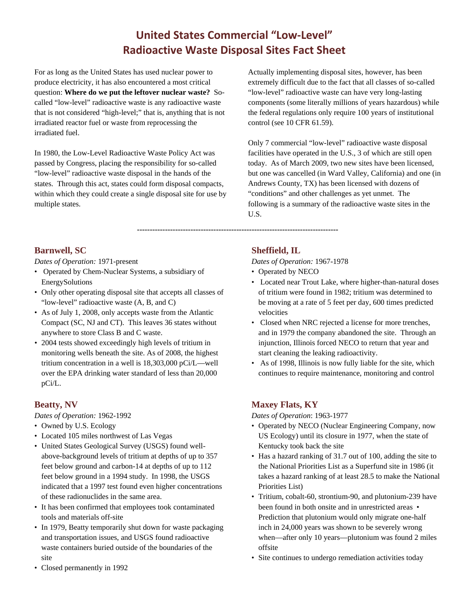# **United States Commercial "Low-Level" Radioactive Waste Disposal Sites Fact Sheet**

For as long as the United States has used nuclear power to produce electricity, it has also encountered a most critical question: **Where do we put the leftover nuclear waste?** Socalled "low-level" radioactive waste is any radioactive waste that is not considered "high-level;" that is, anything that is not irradiated reactor fuel or waste from reprocessing the irradiated fuel.

In 1980, the Low-Level Radioactive Waste Policy Act was passed by Congress, placing the responsibility for so-called "low-level" radioactive waste disposal in the hands of the states. Through this act, states could form disposal compacts, within which they could create a single disposal site for use by multiple states.

Actually implementing disposal sites, however, has been extremely difficult due to the fact that all classes of so-called "low-level" radioactive waste can have very long-lasting components (some literally millions of years hazardous) while the federal regulations only require 100 years of institutional control (see 10 CFR 61.59).

Only 7 commercial "low-level" radioactive waste disposal facilities have operated in the U.S., 3 of which are still open today. As of March 2009, two new sites have been licensed, but one was cancelled (in Ward Valley, California) and one (in Andrews County, TX) has been licensed with dozens of "conditions" and other challenges as yet unmet. The following is a summary of the radioactive waste sites in the U.S.

#### **Barnwell, SC**

*Dates of Operation:* 1971-present

- Operated by Chem-Nuclear Systems, a subsidiary of EnergySolutions
- Only other operating disposal site that accepts all classes of "low-level" radioactive waste (A, B, and C)
- As of July 1, 2008, only accepts waste from the Atlantic Compact (SC, NJ and CT). This leaves 36 states without anywhere to store Class B and C waste.
- 2004 tests showed exceedingly high levels of tritium in monitoring wells beneath the site. As of 2008, the highest tritium concentration in a well is 18,303,000 pCi/L—well over the EPA drinking water standard of less than 20,000 pCi/L.

## **Beatty, NV**

*Dates of Operation:* 1962-1992

- Owned by U.S. Ecology
- Located 105 miles northwest of Las Vegas
- United States Geological Survey (USGS) found wellabove-background levels of tritium at depths of up to 357 feet below ground and carbon-14 at depths of up to 112 feet below ground in a 1994 study. In 1998, the USGS indicated that a 1997 test found even higher concentrations of these radionuclides in the same area.
- It has been confirmed that employees took contaminated tools and materials off-site
- In 1979, Beatty temporarily shut down for waste packaging and transportation issues, and USGS found radioactive waste containers buried outside of the boundaries of the site

## **Sheffield, IL**

*Dates of Operation:* 1967-1978

**-------------------------------------------------------------------------------**

- Operated by NECO
- Located near Trout Lake, where higher-than-natural doses of tritium were found in 1982; tritium was determined to be moving at a rate of 5 feet per day, 600 times predicted velocities
- Closed when NRC rejected a license for more trenches, and in 1979 the company abandoned the site. Through an injunction, Illinois forced NECO to return that year and start cleaning the leaking radioactivity.
- As of 1998, Illinois is now fully liable for the site, which continues to require maintenance, monitoring and control

## **Maxey Flats, KY**

*Dates of Operation*: 1963-1977

- Operated by NECO (Nuclear Engineering Company, now US Ecology) until its closure in 1977, when the state of Kentucky took back the site
- Has a hazard ranking of 31.7 out of 100, adding the site to the National Priorities List as a Superfund site in 1986 (it takes a hazard ranking of at least 28.5 to make the National Priorities List)
- Tritium, cobalt-60, strontium-90, and plutonium-239 have been found in both onsite and in unrestricted areas • Prediction that plutonium would only migrate one-half inch in 24,000 years was shown to be severely wrong when—after only 10 years—plutonium was found 2 miles offsite
- Site continues to undergo remediation activities today

• Closed permanently in 1992